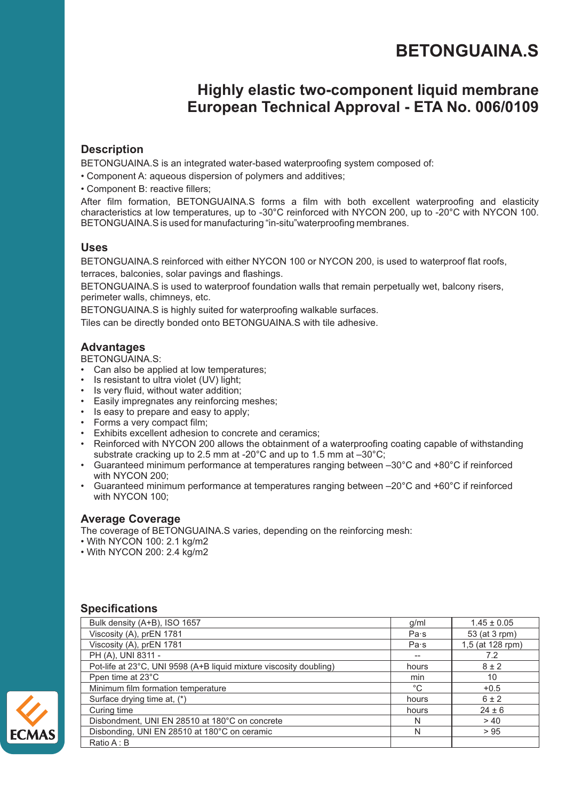# **BETONGUAINA.S**

# **Highly elastic two-component liquid membrane European Technical Approval - ETA No. 006/0109**

# **Description**

BETONGUAINA.S is an integrated water-based waterproofing system composed of:

- Component A: aqueous dispersion of polymers and additives;
- Component B: reactive fillers;

After film formation, BETONGUAINA.S forms a film with both excellent waterproofing and elasticity characteristics at low temperatures, up to -30°C reinforced with NYCON 200, up to -20°C with NYCON 100. BETONGUAINA.S is used for manufacturing "in-situ"waterproofing membranes.

# **Uses**

BETONGUAINA.S reinforced with either NYCON 100 or NYCON 200, is used to waterproof flat roofs, terraces, balconies, solar pavings and flashings.

BETONGUAINA.S is used to waterproof foundation walls that remain perpetually wet, balcony risers, perimeter walls, chimneys, etc.

BETONGUAINA.S is highly suited for waterproofing walkable surfaces.

Tiles can be directly bonded onto BETONGUAINA.S with tile adhesive.

# **Advantages**

BETONGUAINA.S:

- Can also be applied at low temperatures;
- Is resistant to ultra violet (UV) light;
- Is very fluid, without water addition;
- Easily impregnates any reinforcing meshes;
- Is easy to prepare and easy to apply;
- Forms a very compact film;
- Exhibits excellent adhesion to concrete and ceramics;
- Reinforced with NYCON 200 allows the obtainment of a waterproofing coating capable of withstanding substrate cracking up to 2.5 mm at -20°C and up to 1.5 mm at –30°C;
- Guaranteed minimum performance at temperatures ranging between -30°C and +80°C if reinforced with NYCON 200;
- Guaranteed minimum performance at temperatures ranging between –20°C and +60°C if reinforced with NYCON 100;

#### **Average Coverage**

The coverage of BETONGUAINA.S varies, depending on the reinforcing mesh:

- With NYCON 100: 2.1 kg/m2
- With NYCON 200: 2.4 kg/m2

# **Specifications**

| Bulk density (A+B), ISO 1657                                       | g/ml  | $1.45 \pm 0.05$  |
|--------------------------------------------------------------------|-------|------------------|
| Viscosity (A), prEN 1781                                           | Pa·s  | 53 (at 3 rpm)    |
| Viscosity (A), prEN 1781                                           | Pa·s  | 1,5 (at 128 rpm) |
| PH (A), UNI 8311 -                                                 |       | 7.2              |
| Pot-life at 23°C, UNI 9598 (A+B liquid mixture viscosity doubling) | hours | $8 \pm 2$        |
| Ppen time at 23°C                                                  | min   | 10               |
| Minimum film formation temperature                                 | °C    | $+0.5$           |
| Surface drying time at, (*)                                        | hours | $6 \pm 2$        |
| Curing time                                                        | hours | $24 \pm 6$       |
| Disbondment, UNI EN 28510 at 180°C on concrete                     | N     | > 40             |
| Disbonding, UNI EN 28510 at 180°C on ceramic                       | N     | > 95             |
| Ratio A: B                                                         |       |                  |

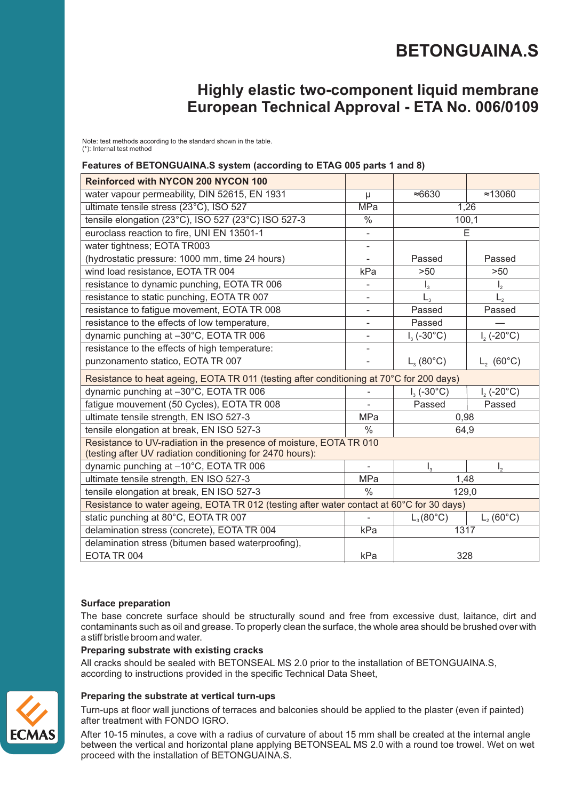# **BETONGUAINA.S**

# **Highly elastic two-component liquid membrane European Technical Approval - ETA No. 006/0109**

Note: test methods according to the standard shown in the table. (\*): Internal test method

#### **Features of BETONGUAINA.S system (according to ETAG 005 parts 1 and 8)**

| <b>Reinforced with NYCON 200 NYCON 100</b>                                                                                       |                          |                          |                     |  |
|----------------------------------------------------------------------------------------------------------------------------------|--------------------------|--------------------------|---------------------|--|
| water vapour permeability, DIN 52615, EN 1931                                                                                    | μ                        | ≈6630                    | $\approx 13060$     |  |
| ultimate tensile stress (23°C), ISO 527                                                                                          | <b>MPa</b>               | 1,26                     |                     |  |
| tensile elongation (23°C), ISO 527 (23°C) ISO 527-3                                                                              | $\frac{0}{6}$            | 100,1                    |                     |  |
| euroclass reaction to fire, UNI EN 13501-1                                                                                       | $\qquad \qquad -$        | E                        |                     |  |
| water tightness; EOTA TR003                                                                                                      |                          |                          |                     |  |
| (hydrostatic pressure: 1000 mm, time 24 hours)                                                                                   |                          | Passed                   | Passed              |  |
| wind load resistance, EOTA TR 004                                                                                                | kPa                      | >50                      | >50                 |  |
| resistance to dynamic punching, EOTA TR 006                                                                                      |                          | $\mathsf{I}_3$           | $\mathsf{I}_2$      |  |
| resistance to static punching, EOTA TR 007                                                                                       |                          | $L_{3}$                  | $L_{2}$             |  |
| resistance to fatigue movement, EOTA TR 008                                                                                      | $\overline{\phantom{0}}$ | Passed                   | Passed              |  |
| resistance to the effects of low temperature,                                                                                    |                          | Passed                   |                     |  |
| dynamic punching at -30°C, EOTA TR 006                                                                                           | $\overline{\phantom{0}}$ | $I_3$ (-30 $^{\circ}$ C) | $I_2(-20^{\circ}C)$ |  |
| resistance to the effects of high temperature:                                                                                   |                          |                          |                     |  |
| punzonamento statico, EOTA TR 007                                                                                                |                          | $L_3(80^{\circ}C)$       | $L_2$ (60°C)        |  |
| Resistance to heat ageing, EOTA TR 011 (testing after conditioning at 70°C for 200 days)                                         |                          |                          |                     |  |
| dynamic punching at -30°C, EOTA TR 006                                                                                           |                          | $I_3$ (-30 $^{\circ}$ C) | $I_2(-20^{\circ}C)$ |  |
| fatigue mouvement (50 Cycles), EOTA TR 008                                                                                       |                          | Passed                   | Passed              |  |
| ultimate tensile strength, EN ISO 527-3                                                                                          | <b>MPa</b>               | 0,98                     |                     |  |
| tensile elongation at break, EN ISO 527-3                                                                                        | $\%$                     | 64,9                     |                     |  |
| Resistance to UV-radiation in the presence of moisture, EOTA TR 010<br>(testing after UV radiation conditioning for 2470 hours): |                          |                          |                     |  |
| dynamic punching at -10°C, EOTA TR 006                                                                                           |                          | $\mathsf{I}_3$           | I,                  |  |
| ultimate tensile strength, EN ISO 527-3                                                                                          | MPa                      | 1,48                     |                     |  |
| tensile elongation at break, EN ISO 527-3                                                                                        | $\frac{0}{0}$            | 129,0                    |                     |  |
| Resistance to water ageing, EOTA TR 012 (testing after water contact at 60°C for 30 days)                                        |                          |                          |                     |  |
| static punching at 80°C, EOTA TR 007                                                                                             |                          | $L_3(80^{\circ}C)$       | $L_2(60^{\circ}C)$  |  |
| delamination stress (concrete), EOTA TR 004                                                                                      | kPa                      | 1317                     |                     |  |
| delamination stress (bitumen based waterproofing),                                                                               |                          |                          |                     |  |
| EOTA TR 004                                                                                                                      | kPa                      | 328                      |                     |  |

#### **Surface preparation**

The base concrete surface should be structurally sound and free from excessive dust, laitance, dirt and contaminants such as oil and grease. To properly clean the surface, the whole area should be brushed over with a stiff bristle broom and water.

#### **Preparing substrate with existing cracks**

All cracks should be sealed with BETONSEAL MS 2.0 prior to the installation of BETONGUAINA.S, according to instructions provided in the specific Technical Data Sheet,

#### **Preparing the substrate at vertical turn-ups**

Turn-ups at floor wall junctions of terraces and balconies should be applied to the plaster (even if painted) after treatment with FONDO IGRO.

After 10-15 minutes, a cove with a radius of curvature of about 15 mm shall be created at the internal angle between the vertical and horizontal plane applying BETONSEAL MS 2.0 with a round toe trowel. Wet on wet proceed with the installation of BETONGUAINA.S.